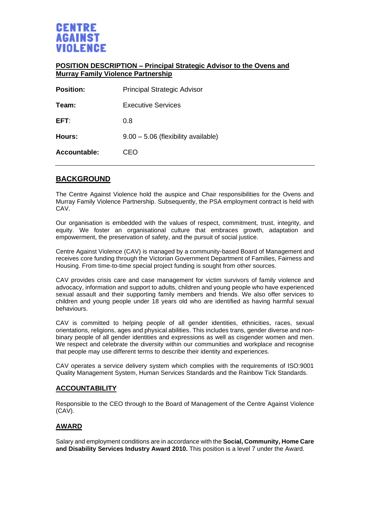

#### **POSITION DESCRIPTION – Principal Strategic Advisor to the Ovens and Murray Family Violence Partnership**

| <b>Principal Strategic Advisor</b>    |
|---------------------------------------|
| <b>Executive Services</b>             |
| 0.8                                   |
| $9.00 - 5.06$ (flexibility available) |
| CEO                                   |
|                                       |

## **BACKGROUND**

The Centre Against Violence hold the auspice and Chair responsibilities for the Ovens and Murray Family Violence Partnership. Subsequently, the PSA employment contract is held with CAV.

Our organisation is embedded with the values of respect, commitment, trust, integrity, and equity. We foster an organisational culture that embraces growth, adaptation and empowerment, the preservation of safety, and the pursuit of social justice.

Centre Against Violence (CAV) is managed by a community-based Board of Management and receives core funding through the Victorian Government Department of Families, Fairness and Housing. From time-to-time special project funding is sought from other sources.

CAV provides crisis care and case management for victim survivors of family violence and advocacy, information and support to adults, children and young people who have experienced sexual assault and their supporting family members and friends. We also offer services to children and young people under 18 years old who are identified as having harmful sexual behaviours.

CAV is committed to helping people of all gender identities, ethnicities, races, sexual orientations, religions, ages and physical abilities. This includes trans, gender diverse and nonbinary people of all gender identities and expressions as well as cisgender women and men. We respect and celebrate the diversity within our communities and workplace and recognise that people may use different terms to describe their identity and experiences.

CAV operates a service delivery system which complies with the requirements of ISO:9001 Quality Management System, Human Services Standards and the Rainbow Tick Standards.

#### **ACCOUNTABILITY**

Responsible to the CEO through to the Board of Management of the Centre Against Violence (CAV).

#### **AWARD**

Salary and employment conditions are in accordance with the **Social, Community, Home Care and Disability Services Industry Award 2010.** This position is a level 7 under the Award.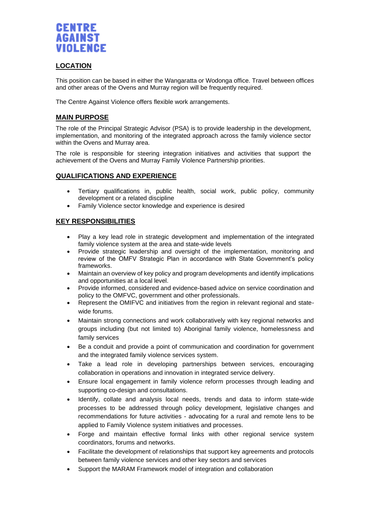

### **LOCATION**

This position can be based in either the Wangaratta or Wodonga office. Travel between offices and other areas of the Ovens and Murray region will be frequently required.

The Centre Against Violence offers flexible work arrangements.

### **MAIN PURPOSE**

The role of the Principal Strategic Advisor (PSA) is to provide leadership in the development, implementation, and monitoring of the integrated approach across the family violence sector within the Ovens and Murray area.

The role is responsible for steering integration initiatives and activities that support the achievement of the Ovens and Murray Family Violence Partnership priorities.

#### **QUALIFICATIONS AND EXPERIENCE**

- Tertiary qualifications in, public health, social work, public policy, community development or a related discipline
- Family Violence sector knowledge and experience is desired

#### **KEY RESPONSIBILITIES**

- Play a key lead role in strategic development and implementation of the integrated family violence system at the area and state-wide levels
- Provide strategic leadership and oversight of the implementation, monitoring and review of the OMFV Strategic Plan in accordance with State Government's policy frameworks.
- Maintain an overview of key policy and program developments and identify implications and opportunities at a local level.
- Provide informed, considered and evidence-based advice on service coordination and policy to the OMFVC, government and other professionals.
- Represent the OMIFVC and initiatives from the region in relevant regional and statewide forums.
- Maintain strong connections and work collaboratively with key regional networks and groups including (but not limited to) Aboriginal family violence, homelessness and family services
- Be a conduit and provide a point of communication and coordination for government and the integrated family violence services system.
- Take a lead role in developing partnerships between services, encouraging collaboration in operations and innovation in integrated service delivery.
- Ensure local engagement in family violence reform processes through leading and supporting co-design and consultations.
- Identify, collate and analysis local needs, trends and data to inform state-wide processes to be addressed through policy development, legislative changes and recommendations for future activities - advocating for a rural and remote lens to be applied to Family Violence system initiatives and processes.
- Forge and maintain effective formal links with other regional service system coordinators, forums and networks.
- Facilitate the development of relationships that support key agreements and protocols between family violence services and other key sectors and services
- Support the MARAM Framework model of integration and collaboration